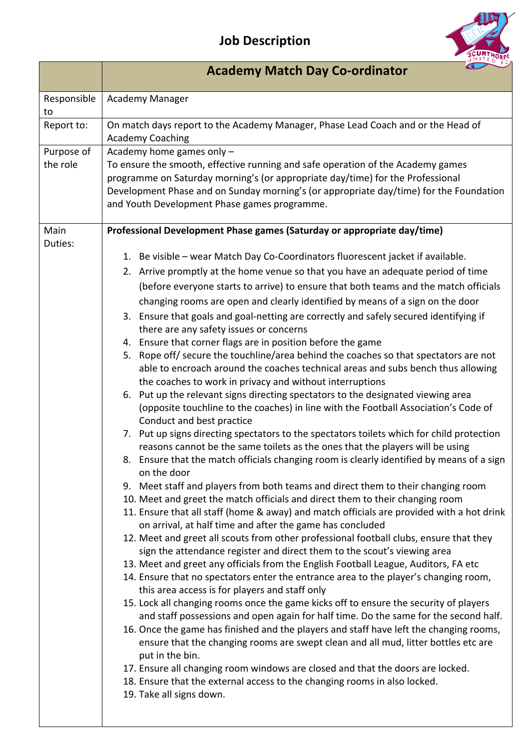## **Job Description**



|                        | <b>Academy Match Day Co-ordinator</b>                                                                                                                                                                                                                                                                                                                                                                                                                                                                                                                                                                                                                                                                                                                                                                                                                                                                                                                                                                                                                                                                                                                                                                                                                                                                                                                                                                                                                                                                                                                                                                                                                                                                                                                                                                                                                                                                                                                                                                                                                                                                                                                                                                                                                                                                                                                                                                                                                                                                                                                                                                                                                                                     |  |
|------------------------|-------------------------------------------------------------------------------------------------------------------------------------------------------------------------------------------------------------------------------------------------------------------------------------------------------------------------------------------------------------------------------------------------------------------------------------------------------------------------------------------------------------------------------------------------------------------------------------------------------------------------------------------------------------------------------------------------------------------------------------------------------------------------------------------------------------------------------------------------------------------------------------------------------------------------------------------------------------------------------------------------------------------------------------------------------------------------------------------------------------------------------------------------------------------------------------------------------------------------------------------------------------------------------------------------------------------------------------------------------------------------------------------------------------------------------------------------------------------------------------------------------------------------------------------------------------------------------------------------------------------------------------------------------------------------------------------------------------------------------------------------------------------------------------------------------------------------------------------------------------------------------------------------------------------------------------------------------------------------------------------------------------------------------------------------------------------------------------------------------------------------------------------------------------------------------------------------------------------------------------------------------------------------------------------------------------------------------------------------------------------------------------------------------------------------------------------------------------------------------------------------------------------------------------------------------------------------------------------------------------------------------------------------------------------------------------------|--|
| Responsible<br>to      | Academy Manager                                                                                                                                                                                                                                                                                                                                                                                                                                                                                                                                                                                                                                                                                                                                                                                                                                                                                                                                                                                                                                                                                                                                                                                                                                                                                                                                                                                                                                                                                                                                                                                                                                                                                                                                                                                                                                                                                                                                                                                                                                                                                                                                                                                                                                                                                                                                                                                                                                                                                                                                                                                                                                                                           |  |
| Report to:             | On match days report to the Academy Manager, Phase Lead Coach and or the Head of<br><b>Academy Coaching</b>                                                                                                                                                                                                                                                                                                                                                                                                                                                                                                                                                                                                                                                                                                                                                                                                                                                                                                                                                                                                                                                                                                                                                                                                                                                                                                                                                                                                                                                                                                                                                                                                                                                                                                                                                                                                                                                                                                                                                                                                                                                                                                                                                                                                                                                                                                                                                                                                                                                                                                                                                                               |  |
| Purpose of<br>the role | Academy home games only -<br>To ensure the smooth, effective running and safe operation of the Academy games<br>programme on Saturday morning's (or appropriate day/time) for the Professional<br>Development Phase and on Sunday morning's (or appropriate day/time) for the Foundation<br>and Youth Development Phase games programme.                                                                                                                                                                                                                                                                                                                                                                                                                                                                                                                                                                                                                                                                                                                                                                                                                                                                                                                                                                                                                                                                                                                                                                                                                                                                                                                                                                                                                                                                                                                                                                                                                                                                                                                                                                                                                                                                                                                                                                                                                                                                                                                                                                                                                                                                                                                                                  |  |
| Main<br>Duties:        | Professional Development Phase games (Saturday or appropriate day/time)<br>1. Be visible - wear Match Day Co-Coordinators fluorescent jacket if available.<br>2. Arrive promptly at the home venue so that you have an adequate period of time<br>(before everyone starts to arrive) to ensure that both teams and the match officials<br>changing rooms are open and clearly identified by means of a sign on the door<br>3. Ensure that goals and goal-netting are correctly and safely secured identifying if<br>there are any safety issues or concerns<br>4. Ensure that corner flags are in position before the game<br>5. Rope off/ secure the touchline/area behind the coaches so that spectators are not<br>able to encroach around the coaches technical areas and subs bench thus allowing<br>the coaches to work in privacy and without interruptions<br>6. Put up the relevant signs directing spectators to the designated viewing area<br>(opposite touchline to the coaches) in line with the Football Association's Code of<br>Conduct and best practice<br>7. Put up signs directing spectators to the spectators toilets which for child protection<br>reasons cannot be the same toilets as the ones that the players will be using<br>8. Ensure that the match officials changing room is clearly identified by means of a sign<br>on the door<br>9. Meet staff and players from both teams and direct them to their changing room<br>10. Meet and greet the match officials and direct them to their changing room<br>11. Ensure that all staff (home & away) and match officials are provided with a hot drink<br>on arrival, at half time and after the game has concluded<br>12. Meet and greet all scouts from other professional football clubs, ensure that they<br>sign the attendance register and direct them to the scout's viewing area<br>13. Meet and greet any officials from the English Football League, Auditors, FA etc<br>14. Ensure that no spectators enter the entrance area to the player's changing room,<br>this area access is for players and staff only<br>15. Lock all changing rooms once the game kicks off to ensure the security of players<br>and staff possessions and open again for half time. Do the same for the second half.<br>16. Once the game has finished and the players and staff have left the changing rooms,<br>ensure that the changing rooms are swept clean and all mud, litter bottles etc are<br>put in the bin.<br>17. Ensure all changing room windows are closed and that the doors are locked.<br>18. Ensure that the external access to the changing rooms in also locked.<br>19. Take all signs down. |  |